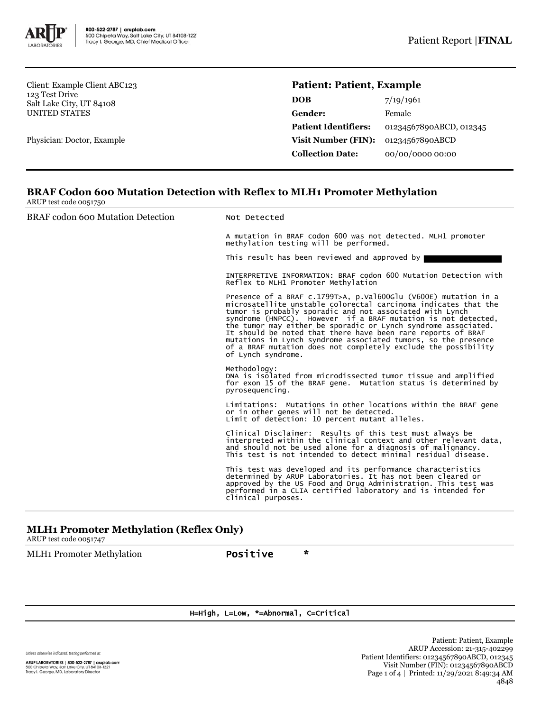

Client: Example Client ABC123 123 Test Drive Salt Lake City, UT 84108 UNITED STATES

Physician: Doctor, Example

## **Patient: Patient, Example**

| <b>DOB</b>                  | 7/19/1961               |
|-----------------------------|-------------------------|
| Gender:                     | Female                  |
| <b>Patient Identifiers:</b> | 01234567890ABCD, 012345 |
| Visit Number (FIN):         | 01234567890ABCD         |
| <b>Collection Date:</b>     | 00/00/0000 00:00        |

## **BRAF Codon 600 Mutation Detection with Reflex to MLH1 Promoter Methylation** ARUP test code 0051750

## BRAF codon 600 Mutation Detection Not Detected

A mutation in BRAF codon 600 was not detected. MLH1 promoter methylation testing will be performed.

This result has been reviewed and approved by

INTERPRETIVE INFORMATION: BRAF codon 600 Mutation Detection with Reflex to MLH1 Promoter Methylation

Presence of a BRAF c.1799T>A, p.Val600Glu (V600E) mutation in a microsatellite unstable colorectal carcinoma indicates that the tumor is probably sporadic and not associated with Lynch syndrome (HNPCC). However if a BRAF mutation is not detected, the tumor may either be sporadic or Lynch syndrome associated. It should be noted that there have been rare reports of BRAF mutations in Lynch syndrome associated tumors, so the presence of a BRAF mutation does not completely exclude the possibility of Lynch syndrome.

Methodology: DNA is isolated from microdissected tumor tissue and amplified for exon 15 of the BRAF gene. Mutation status is determined by pyrosequencing.

Limitations: Mutations in other locations within the BRAF gene or in other genes will not be detected. Limit of detection: 10 percent mutant alleles.

Clinical Disclaimer: Results of this test must always be interpreted within the clinical context and other relevant data, and should not be used alone for a diagnosis of malignancy. This test is not intended to detect minimal residual disease.

This test was developed and its performance characteristics determined by ARUP Laboratories. It has not been cleared or approved by the US Food and Drug Administration. This test was performed in a CLIA certified laboratory and is intended for clinical purposes.

## **MLH1 Promoter Methylation (Reflex Only)**

ARUP test code 0051747

MLH1 Promoter Methylation **Positive** \*

H=High, L=Low, \*=Abnormal, C=Critical

Unless otherwise indicated, testing performed at:

ARUP LABORATORIES | 800-522-2787 | aruplab.com 500 Chipeta Way, Salt Lake City, UT 84108-1221<br>Tracy I. George, MD, Laboratory Director

Patient: Patient, Example ARUP Accession: 21-315-402299 Patient Identifiers: 01234567890ABCD, 012345 Visit Number (FIN): 01234567890ABCD Page 1 of 4 | Printed: 11/29/2021 8:49:34 AM 4848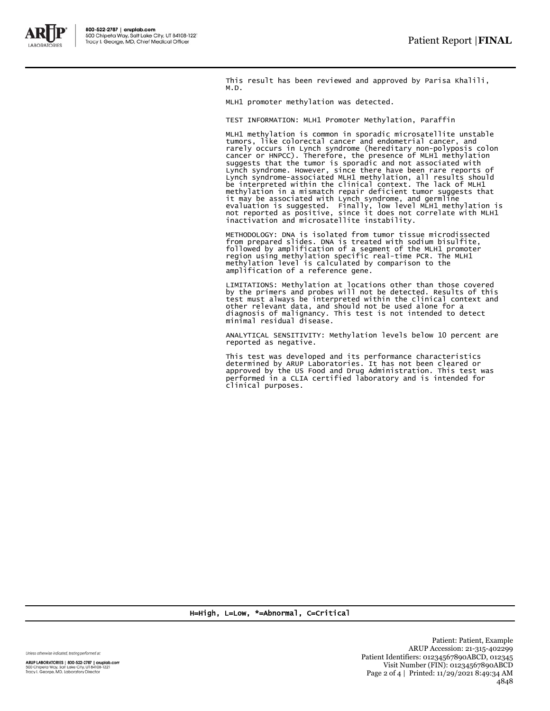

This result has been reviewed and approved by Parisa Khalili, M.D.

MLH1 promoter methylation was detected.

TEST INFORMATION: MLH1 Promoter Methylation, Paraffin

MLH1 methylation is common in sporadic microsatellite unstable tumors, like colorectal cancer and endometrial cancer, and rarely occurs in Lynch syndrome (hereditary non-polyposis colon cancer or HNPCC). Therefore, the presence of MLH1 methylation suggests that the tumor is sporadic and not associated with Lynch syndrome. However, since there have been rare reports of Lynch syndrome-associated MLH1 methylation, all results should be interpreted within the clinical context. The lack of MLH1 methylation in a mismatch repair deficient tumor suggests that it may be associated with Lynch syndrome, and germline evaluation is suggested. Finally, low level MLH1 methylation is not reported as positive, since it does not correlate with MLH1 inactivation and microsatellite instability.

METHODOLOGY: DNA is isolated from tumor tissue microdissected from prepared slides. DNA is treated with sodium bisulfite,<br>followed by amplification of a segment of the MLH1 promoter<br>region using methylation specific real-time PCR. The MLH1<br>methylation level is calculated by compariso amplification of a reference gene.

LIMITATIONS: Methylation at locations other than those covered<br>by the primers and probes will not be detected. Results of this<br>test must always be interpreted within the clinical context and<br>other relevant data, and should

ANALYTICAL SENSITIVITY: Methylation levels below 10 percent are reported as negative.

This test was developed and its performance characteristics determined by ARUP Laboratories. It has not been cleared or approved by the US Food and Drug Administration. This test was performed in a CLIA certified laboratory and is intended for clinical purposes.

H=High, L=Low, \*=Abnormal, C=Critical

Unless otherwise indicated, testing performed at:

ARUP LABORATORIES | 800-522-2787 | aruplab.com 500 Chipeta Way, Salt Lake City, UT 84108-1221<br>Tracy I. George, MD, Laboratory Director

Patient: Patient, Example ARUP Accession: 21-315-402299 Patient Identifiers: 01234567890ABCD, 012345 Visit Number (FIN): 01234567890ABCD Page 2 of 4 | Printed: 11/29/2021 8:49:34 AM 4848